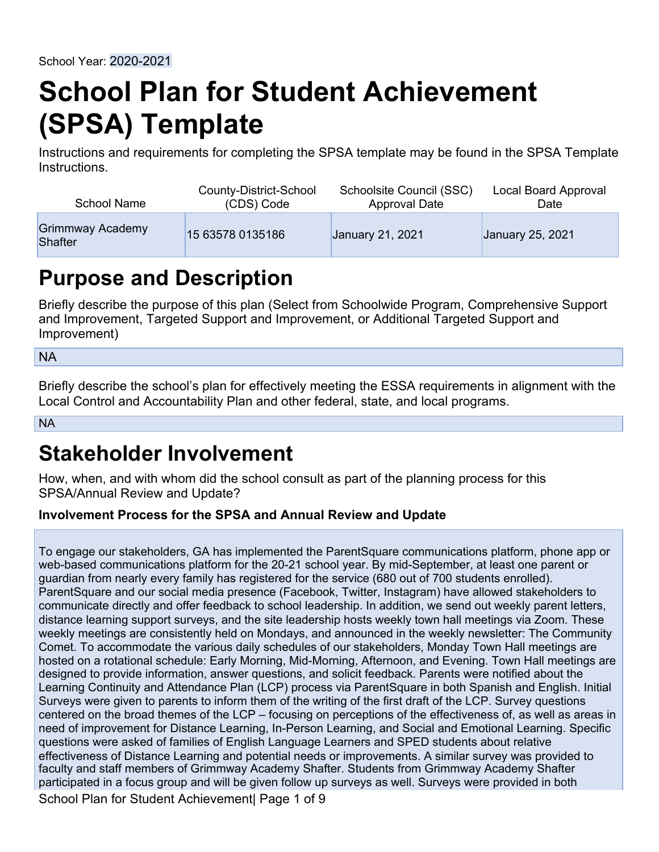# **School Plan for Student Achievement (SPSA) Template**

Instructions and requirements for completing the SPSA template may be found in the [SPSA Template](#page--1-0) [Instructions.](#page--1-0)

| <b>School Name</b>          | County-District-School | Schoolsite Council (SSC) | Local Board Approval |
|-----------------------------|------------------------|--------------------------|----------------------|
|                             | (CDS) Code             | Approval Date            | Date                 |
| Grimmway Academy<br>Shafter | 15 63578 0135186       | January 21, 2021         | January 25, 2021     |

# **Purpose and Description**

Briefly describe the purpose of this plan (Select from Schoolwide Program, Comprehensive Support and Improvement, Targeted Support and Improvement, or Additional Targeted Support and Improvement)

NA

Briefly describe the school's plan for effectively meeting the ESSA requirements in alignment with the Local Control and Accountability Plan and other federal, state, and local programs.

NA

# **Stakeholder Involvement**

How, when, and with whom did the school consult as part of the planning process for this SPSA/Annual Review and Update?

### **Involvement Process for the SPSA and Annual Review and Update**

To engage our stakeholders, GA has implemented the ParentSquare communications platform, phone app or web-based communications platform for the 20-21 school year. By mid-September, at least one parent or guardian from nearly every family has registered for the service (680 out of 700 students enrolled). ParentSquare and our social media presence (Facebook, Twitter, Instagram) have allowed stakeholders to communicate directly and offer feedback to school leadership. In addition, we send out weekly parent letters, distance learning support surveys, and the site leadership hosts weekly town hall meetings via Zoom. These weekly meetings are consistently held on Mondays, and announced in the weekly newsletter: The Community Comet. To accommodate the various daily schedules of our stakeholders, Monday Town Hall meetings are hosted on a rotational schedule: Early Morning, Mid-Morning, Afternoon, and Evening. Town Hall meetings are designed to provide information, answer questions, and solicit feedback. Parents were notified about the Learning Continuity and Attendance Plan (LCP) process via ParentSquare in both Spanish and English. Initial Surveys were given to parents to inform them of the writing of the first draft of the LCP. Survey questions centered on the broad themes of the LCP – focusing on perceptions of the effectiveness of, as well as areas in need of improvement for Distance Learning, In-Person Learning, and Social and Emotional Learning. Specific questions were asked of families of English Language Learners and SPED students about relative effectiveness of Distance Learning and potential needs or improvements. A similar survey was provided to faculty and staff members of Grimmway Academy Shafter. Students from Grimmway Academy Shafter participated in a focus group and will be given follow up surveys as well. Surveys were provided in both School Plan for Student Achievement | Page 1 of 9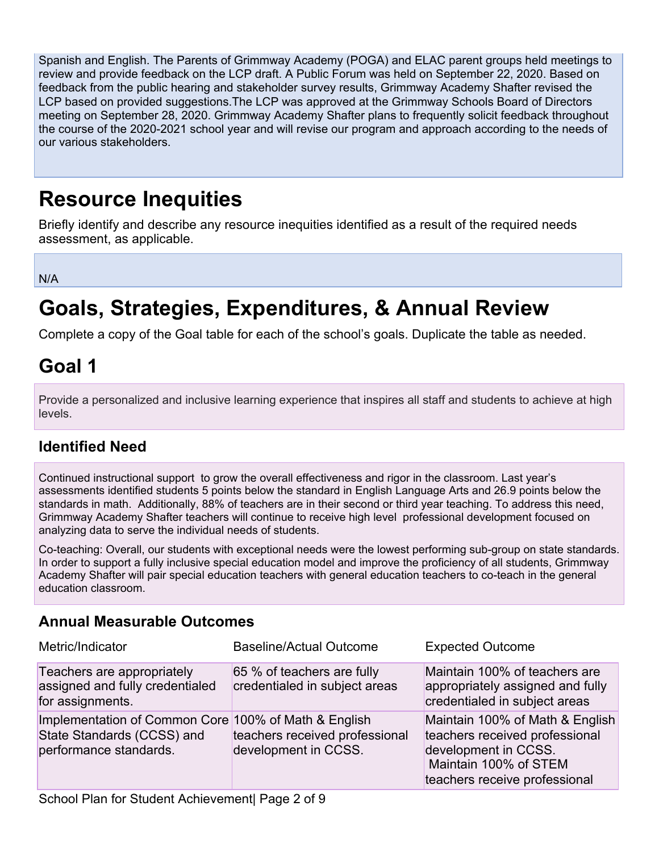Spanish and English. The Parents of Grimmway Academy (POGA) and ELAC parent groups held meetings to review and provide feedback on the LCP draft. A Public Forum was held on September 22, 2020. Based on feedback from the public hearing and stakeholder survey results, Grimmway Academy Shafter revised the LCP based on provided suggestions.The LCP was approved at the Grimmway Schools Board of Directors meeting on September 28, 2020. Grimmway Academy Shafter plans to frequently solicit feedback throughout the course of the 2020-2021 school year and will revise our program and approach according to the needs of our various stakeholders.

# **Resource Inequities**

Briefly identify and describe any resource inequities identified as a result of the required needs assessment, as applicable.

N/A

# **Goals, Strategies, Expenditures, & Annual Review**

Complete a copy of the Goal table for each of the school's goals. Duplicate the table as needed.

# **Goal 1**

Provide a personalized and inclusive learning experience that inspires all staff and students to achieve at high levels.

# **Identified Need**

Continued instructional support to grow the overall effectiveness and rigor in the classroom. Last year's assessments identified students 5 points below the standard in English Language Arts and 26.9 points below the standards in math. Additionally, 88% of teachers are in their second or third year teaching. To address this need, Grimmway Academy Shafter teachers will continue to receive high level professional development focused on analyzing data to serve the individual needs of students.

Co-teaching: Overall, our students with exceptional needs were the lowest performing sub-group on state standards. In order to support a fully inclusive special education model and improve the proficiency of all students, Grimmway Academy Shafter will pair special education teachers with general education teachers to co-teach in the general education classroom.

# **Annual Measurable Outcomes**

| Metric/Indicator                                                                                             | <b>Baseline/Actual Outcome</b>                              | <b>Expected Outcome</b>                                                                                                                             |
|--------------------------------------------------------------------------------------------------------------|-------------------------------------------------------------|-----------------------------------------------------------------------------------------------------------------------------------------------------|
| Teachers are appropriately<br>assigned and fully credentialed<br>for assignments.                            | 65 % of teachers are fully<br>credentialed in subject areas | Maintain 100% of teachers are<br>appropriately assigned and fully<br>credentialed in subject areas                                                  |
| Implementation of Common Core 100% of Math & English<br>State Standards (CCSS) and<br>performance standards. | teachers received professional<br>development in CCSS.      | Maintain 100% of Math & English<br>teachers received professional<br>development in CCSS.<br>Maintain 100% of STEM<br>teachers receive professional |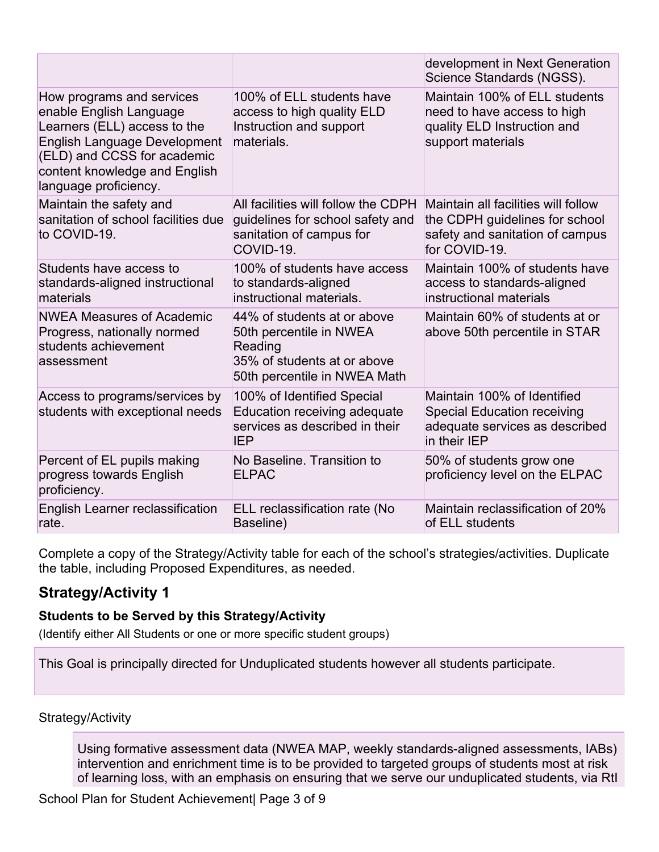|                                                                                                                                                                                                                      |                                                                                                                                  | development in Next Generation<br>Science Standards (NGSS).                                                               |
|----------------------------------------------------------------------------------------------------------------------------------------------------------------------------------------------------------------------|----------------------------------------------------------------------------------------------------------------------------------|---------------------------------------------------------------------------------------------------------------------------|
| How programs and services<br>enable English Language<br>Learners (ELL) access to the<br><b>English Language Development</b><br>(ELD) and CCSS for academic<br>content knowledge and English<br>language proficiency. | 100% of ELL students have<br>access to high quality ELD<br>Instruction and support<br>materials.                                 | Maintain 100% of ELL students<br>need to have access to high<br>quality ELD Instruction and<br>support materials          |
| Maintain the safety and<br>sanitation of school facilities due<br>to COVID-19.                                                                                                                                       | All facilities will follow the CDPH<br>guidelines for school safety and<br>sanitation of campus for<br>COVID-19.                 | Maintain all facilities will follow<br>the CDPH guidelines for school<br>safety and sanitation of campus<br>for COVID-19. |
| Students have access to<br>standards-aligned instructional<br>materials                                                                                                                                              | 100% of students have access<br>to standards-aligned<br>instructional materials.                                                 | Maintain 100% of students have<br>access to standards-aligned<br>instructional materials                                  |
| <b>NWEA Measures of Academic</b><br>Progress, nationally normed<br>students achievement<br>assessment                                                                                                                | 44% of students at or above<br>50th percentile in NWEA<br>Reading<br>35% of students at or above<br>50th percentile in NWEA Math | Maintain 60% of students at or<br>above 50th percentile in STAR                                                           |
| Access to programs/services by<br>students with exceptional needs                                                                                                                                                    | 100% of Identified Special<br>Education receiving adequate<br>services as described in their<br><b>IEP</b>                       | Maintain 100% of Identified<br><b>Special Education receiving</b><br>adequate services as described<br>in their IEP       |
| Percent of EL pupils making<br>progress towards English<br>proficiency.                                                                                                                                              | No Baseline. Transition to<br><b>ELPAC</b>                                                                                       | 50% of students grow one<br>proficiency level on the ELPAC                                                                |
| English Learner reclassification<br>rate.                                                                                                                                                                            | ELL reclassification rate (No<br>Baseline)                                                                                       | Maintain reclassification of 20%<br>of ELL students                                                                       |

Complete a copy of the Strategy/Activity table for each of the school's strategies/activities. Duplicate the table, including Proposed Expenditures, as needed.

# **Strategy/Activity 1**

### **Students to be Served by this Strategy/Activity**

(Identify either All Students or one or more specific student groups)

This Goal is principally directed for Unduplicated students however all students participate.

### Strategy/Activity

Using formative assessment data (NWEA MAP, weekly standards-aligned assessments, IABs) intervention and enrichment time is to be provided to targeted groups of students most at risk of learning loss, with an emphasis on ensuring that we serve our unduplicated students, via RtI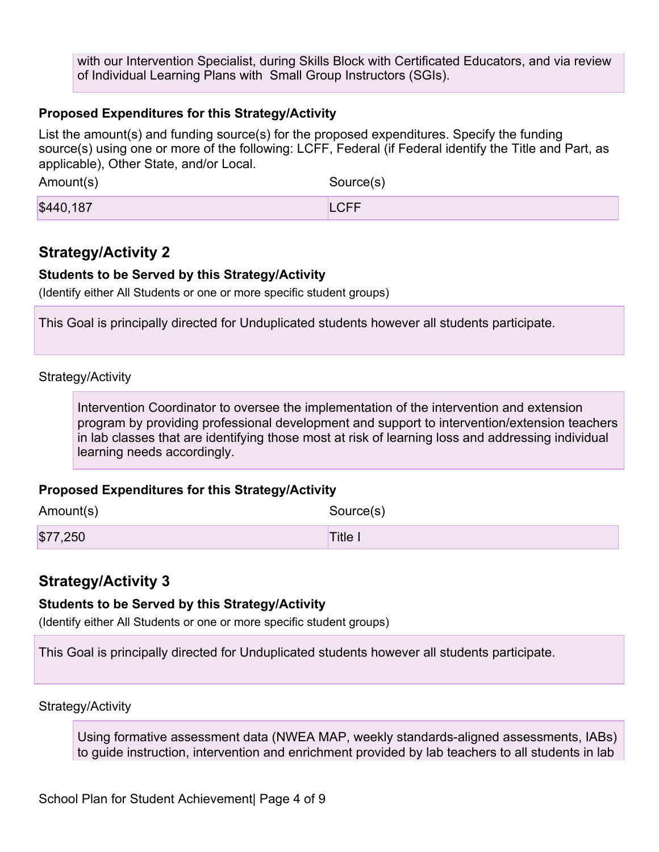with our Intervention Specialist, during Skills Block with Certificated Educators, and via review of Individual Learning Plans with Small Group Instructors (SGIs).

#### **Proposed Expenditures for this Strategy/Activity**

List the amount(s) and funding source(s) for the proposed expenditures. Specify the funding source(s) using one or more of the following: LCFF, Federal (if Federal identify the Title and Part, as applicable), Other State, and/or Local.

Amount(s) Source(s) **\$440,187** LCFF

## **Strategy/Activity 2**

#### **Students to be Served by this Strategy/Activity**

(Identify either All Students or one or more specific student groups)

This Goal is principally directed for Unduplicated students however all students participate.

#### Strategy/Activity

Intervention Coordinator to oversee the implementation of the intervention and extension program by providing professional development and support to intervention/extension teachers in lab classes that are identifying those most at risk of learning loss and addressing individual learning needs accordingly.

#### **Proposed Expenditures for this Strategy/Activity**

| Amount(s) | Source(s) |
|-----------|-----------|
| \$77,250  | Title I   |

### **Strategy/Activity 3**

#### **Students to be Served by this Strategy/Activity**

(Identify either All Students or one or more specific student groups)

This Goal is principally directed for Unduplicated students however all students participate.

Strategy/Activity

Using formative assessment data (NWEA MAP, weekly standards-aligned assessments, IABs) to guide instruction, intervention and enrichment provided by lab teachers to all students in lab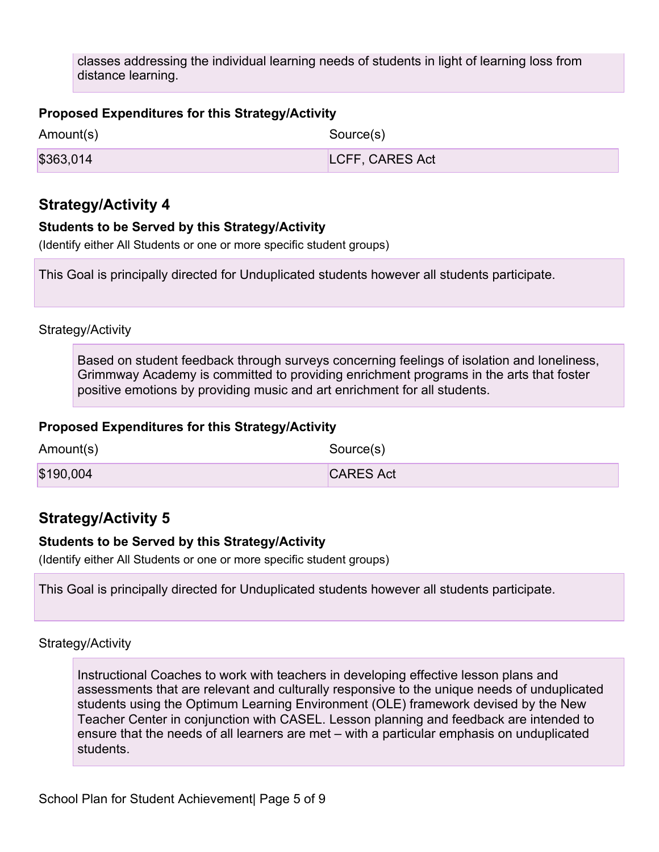classes addressing the individual learning needs of students in light of learning loss from distance learning.

#### **Proposed Expenditures for this Strategy/Activity**

| Amount(s) | Source(s)       |
|-----------|-----------------|
| \$363,014 | LCFF, CARES Act |

## **Strategy/Activity 4**

#### **Students to be Served by this Strategy/Activity**

(Identify either All Students or one or more specific student groups)

This Goal is principally directed for Unduplicated students however all students participate.

#### Strategy/Activity

Based on student feedback through surveys concerning feelings of isolation and loneliness, Grimmway Academy is committed to providing enrichment programs in the arts that foster positive emotions by providing music and art enrichment for all students.

### **Proposed Expenditures for this Strategy/Activity**

| Amount(s) | Source(s)        |
|-----------|------------------|
| \$190,004 | <b>CARES Act</b> |

# **Strategy/Activity 5**

### **Students to be Served by this Strategy/Activity**

(Identify either All Students or one or more specific student groups)

This Goal is principally directed for Unduplicated students however all students participate.

#### Strategy/Activity

Instructional Coaches to work with teachers in developing effective lesson plans and assessments that are relevant and culturally responsive to the unique needs of unduplicated students using the Optimum Learning Environment (OLE) framework devised by the New Teacher Center in conjunction with CASEL. Lesson planning and feedback are intended to ensure that the needs of all learners are met – with a particular emphasis on unduplicated students.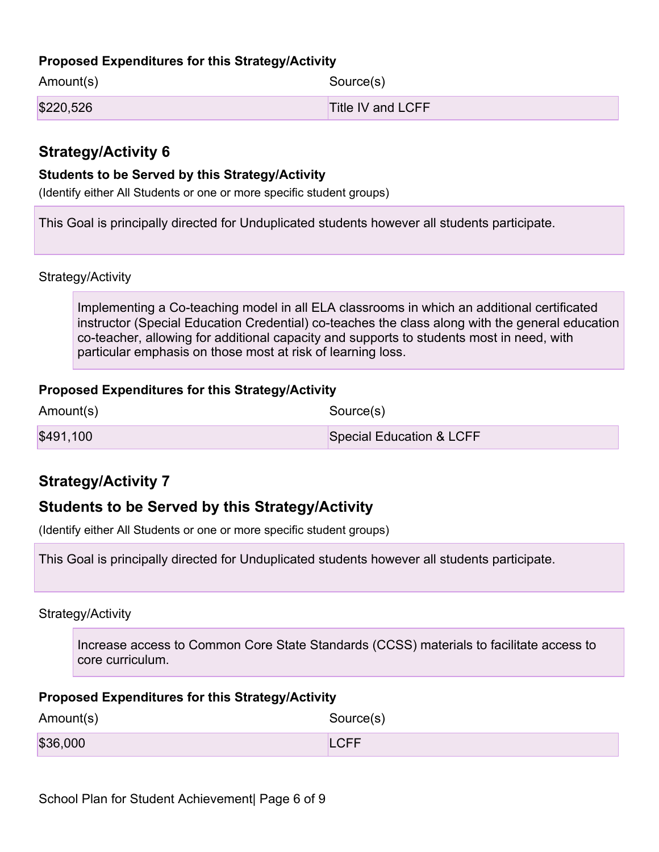### **Proposed Expenditures for this Strategy/Activity**

| Amount(s) | Source(s)         |
|-----------|-------------------|
| \$220,526 | Title IV and LCFF |

# **Strategy/Activity 6**

#### **Students to be Served by this Strategy/Activity**

(Identify either All Students or one or more specific student groups)

This Goal is principally directed for Unduplicated students however all students participate.

Strategy/Activity

Implementing a Co-teaching model in all ELA classrooms in which an additional certificated instructor (Special Education Credential) co-teaches the class along with the general education co-teacher, allowing for additional capacity and supports to students most in need, with particular emphasis on those most at risk of learning loss.

#### **Proposed Expenditures for this Strategy/Activity**

| Amount(s) | Source(s)                |
|-----------|--------------------------|
| \$491,100 | Special Education & LCFF |

# **Strategy/Activity 7**

# **Students to be Served by this Strategy/Activity**

(Identify either All Students or one or more specific student groups)

This Goal is principally directed for Unduplicated students however all students participate.

Strategy/Activity

Increase access to Common Core State Standards (CCSS) materials to facilitate access to core curriculum.

#### **Proposed Expenditures for this Strategy/Activity**

| Amount(s) | Source(s)   |
|-----------|-------------|
| \$36,000  | <b>LCFF</b> |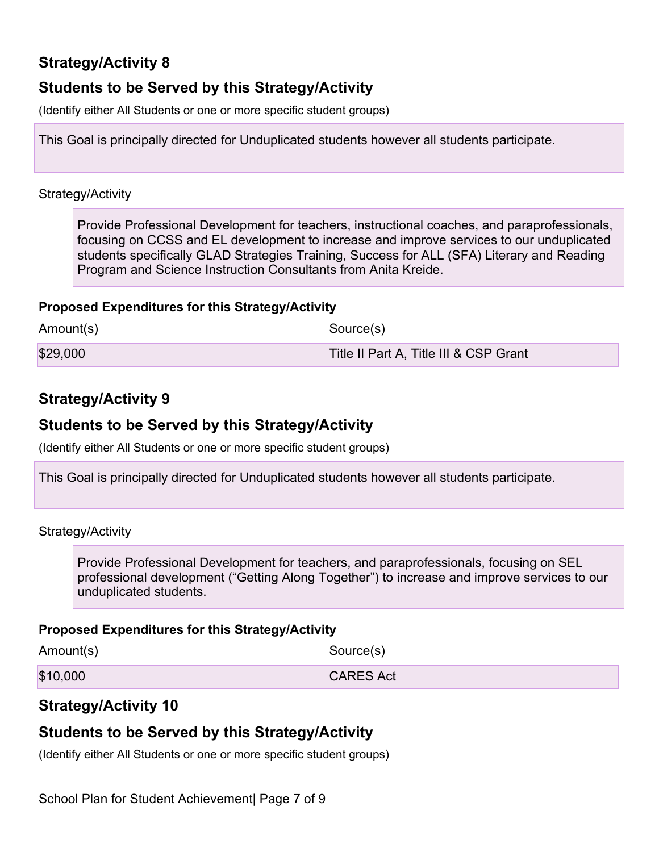# **Strategy/Activity 8**

# **Students to be Served by this Strategy/Activity**

(Identify either All Students or one or more specific student groups)

This Goal is principally directed for Unduplicated students however all students participate.

#### Strategy/Activity

Provide Professional Development for teachers, instructional coaches, and paraprofessionals, focusing on CCSS and EL development to increase and improve services to our unduplicated students specifically GLAD Strategies Training, Success for ALL (SFA) Literary and Reading Program and Science Instruction Consultants from Anita Kreide.

### **Proposed Expenditures for this Strategy/Activity**

| Amount(s) | Source(s)                              |
|-----------|----------------------------------------|
| \$29,000  | Title II Part A, Title III & CSP Grant |

# **Strategy/Activity 9**

## **Students to be Served by this Strategy/Activity**

(Identify either All Students or one or more specific student groups)

This Goal is principally directed for Unduplicated students however all students participate.

Strategy/Activity

Provide Professional Development for teachers, and paraprofessionals, focusing on SEL professional development ("Getting Along Together") to increase and improve services to our unduplicated students.

#### **Proposed Expenditures for this Strategy/Activity**

| Amount(s) | Source(s)        |
|-----------|------------------|
| \$10,000  | <b>CARES Act</b> |

# **Strategy/Activity 10**

# **Students to be Served by this Strategy/Activity**

(Identify either All Students or one or more specific student groups)

School Plan for Student Achievement Page 7 of 9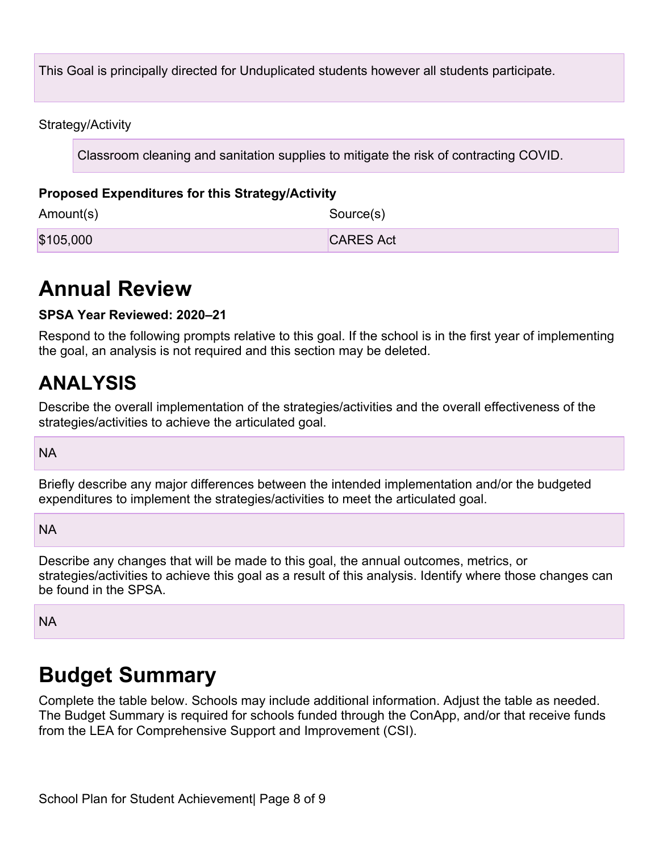This Goal is principally directed for Unduplicated students however all students participate.

Strategy/Activity

Classroom cleaning and sanitation supplies to mitigate the risk of contracting COVID.

### **Proposed Expenditures for this Strategy/Activity**

Amount(s) Source(s) \$105,000 CARES Act

# **Annual Review**

### **SPSA Year Reviewed: 2020–21**

Respond to the following prompts relative to this goal. If the school is in the first year of implementing the goal, an analysis is not required and this section may be deleted.

# **ANALYSIS**

Describe the overall implementation of the strategies/activities and the overall effectiveness of the strategies/activities to achieve the articulated goal.

NA

Briefly describe any major differences between the intended implementation and/or the budgeted expenditures to implement the strategies/activities to meet the articulated goal.

NA

Describe any changes that will be made to this goal, the annual outcomes, metrics, or strategies/activities to achieve this goal as a result of this analysis. Identify where those changes can be found in the SPSA.

NA

# **Budget Summary**

Complete the table below. Schools may include additional information. Adjust the table as needed. The Budget Summary is required for schools funded through the ConApp, and/or that receive funds from the LEA for Comprehensive Support and Improvement (CSI).